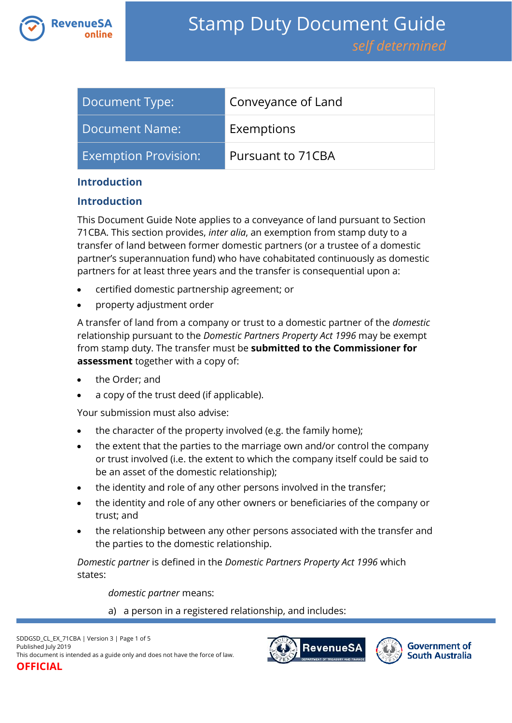

| Document Type:         | Conveyance of Land |
|------------------------|--------------------|
| Document Name:         | Exemptions         |
| Exemption Provision: l | Pursuant to 71CBA  |

#### **Introduction**

#### **Introduction**

This Document Guide Note applies to a conveyance of land pursuant to Section 71CBA. This section provides, *inter alia*, an exemption from stamp duty to a transfer of land between former domestic partners (or a trustee of a domestic partner's superannuation fund) who have cohabitated continuously as domestic partners for at least three years and the transfer is consequential upon a:

- certified domestic partnership agreement; or
- property adjustment order

A transfer of land from a company or trust to a domestic partner of the *domestic*  relationship pursuant to the *Domestic Partners Property Act 1996* may be exempt from stamp duty. The transfer must be **submitted to the Commissioner for assessment** together with a copy of:

- the Order; and
- a copy of the trust deed (if applicable).

Your submission must also advise:

- the character of the property involved (e.g. the family home);
- the extent that the parties to the marriage own and/or control the company or trust involved (i.e. the extent to which the company itself could be said to be an asset of the domestic relationship);
- the identity and role of any other persons involved in the transfer;
- the identity and role of any other owners or beneficiaries of the company or trust; and
- the relationship between any other persons associated with the transfer and the parties to the domestic relationship.

*Domestic partner* is defined in the *Domestic Partners Property Act 1996* which states:

*domestic partner* means:

a) a person in a registered relationship, and includes:



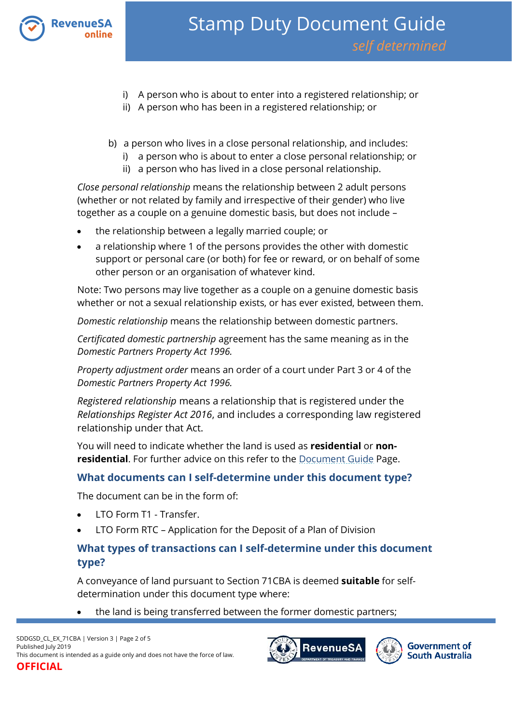

- i) A person who is about to enter into a registered relationship; or
- ii) A person who has been in a registered relationship; or
- b) a person who lives in a close personal relationship, and includes:
	- i) a person who is about to enter a close personal relationship; or
	- ii) a person who has lived in a close personal relationship.

*Close personal relationship* means the relationship between 2 adult persons (whether or not related by family and irrespective of their gender) who live together as a couple on a genuine domestic basis, but does not include –

- the relationship between a legally married couple; or
- a relationship where 1 of the persons provides the other with domestic support or personal care (or both) for fee or reward, or on behalf of some other person or an organisation of whatever kind.

Note: Two persons may live together as a couple on a genuine domestic basis whether or not a sexual relationship exists, or has ever existed, between them.

*Domestic relationship* means the relationship between domestic partners.

*Certificated domestic partnership* agreement has the same meaning as in the *Domestic Partners Property Act 1996.* 

*Property adjustment order* means an order of a court under Part 3 or 4 of the *Domestic Partners Property Act 1996.*

*Registered relationship* means a relationship that is registered under the *Relationships Register Act 2016*, and includes a corresponding law registered relationship under that Act.

You will need to indicate whether the land is used as **residential** or **nonresidential**. For further advice on this refer to the [Document Guide](https://www.revenuesa.sa.gov.au/stampduty/stamp-duty-document-guide#Glossary) Page.

# **What documents can I self-determine under this document type?**

The document can be in the form of:

- LTO Form T1 Transfer.
- LTO Form RTC Application for the Deposit of a Plan of Division

# **What types of transactions can I self-determine under this document type?**

A conveyance of land pursuant to Section 71CBA is deemed **suitable** for selfdetermination under this document type where:

the land is being transferred between the former domestic partners;

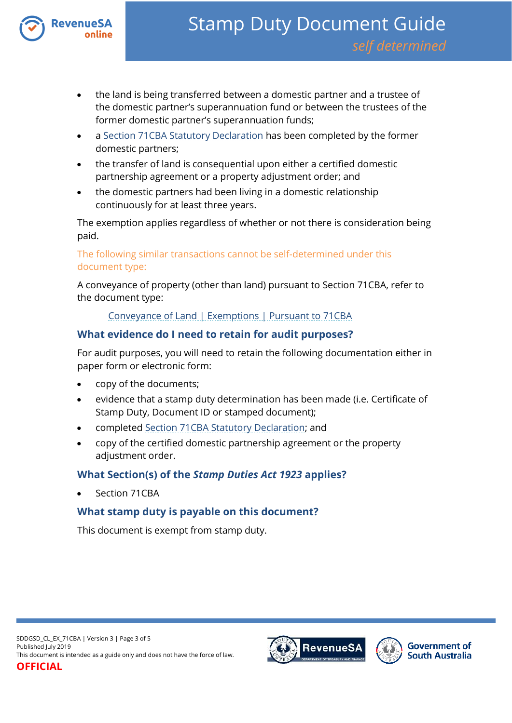

- the land is being transferred between a domestic partner and a trustee of the domestic partner's superannuation fund or between the trustees of the former domestic partner's superannuation funds;
- a [Section 71CBA Statutory Declaration](https://www.revenuesa.sa.gov.au/forms-and-publications/documents/forms/SD_S71CBAstatdec.pdf) has been completed by the former domestic partners;
- the transfer of land is consequential upon either a certified domestic partnership agreement or a property adjustment order; and
- the domestic partners had been living in a domestic relationship continuously for at least three years.

The exemption applies regardless of whether or not there is consideration being paid.

The following similar transactions cannot be self-determined under this document type:

A conveyance of property (other than land) pursuant to Section 71CBA, refer to the document type:

[Conveyance of Land | Exemptions | Pursuant to 71CBA](https://www.revenuesa.sa.gov.au/stampduty/stamp-duty-document-guide/self-determined/conveyance-of-land-exemptions/sddgsd_cl_ex_71cba)

### **What evidence do I need to retain for audit purposes?**

For audit purposes, you will need to retain the following documentation either in paper form or electronic form:

- copy of the documents;
- evidence that a stamp duty determination has been made (i.e. Certificate of Stamp Duty, Document ID or stamped document);
- complete[d Section 71CBA Statutory Declaration;](https://www.revenuesa.sa.gov.au/forms-and-publications/documents/forms/SD_S71CBAstatdec.pdf) and
- copy of the certified domestic partnership agreement or the property adjustment order.

# **What Section(s) of the** *Stamp Duties Act 1923* **applies?**

Section 71CBA

# **What stamp duty is payable on this document?**

This document is exempt from stamp duty.



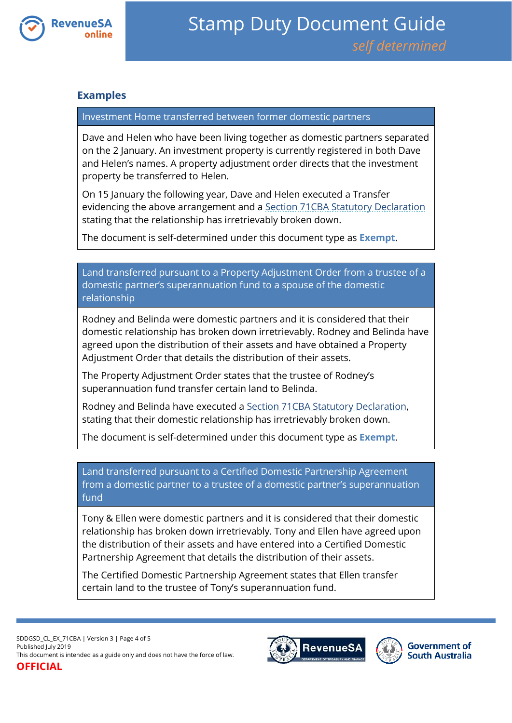

#### **Examples**

#### Investment Home transferred between former domestic partners

Dave and Helen who have been living together as domestic partners separated on the 2 January. An investment property is currently registered in both Dave and Helen's names. A property adjustment order directs that the investment property be transferred to Helen.

On 15 January the following year, Dave and Helen executed a Transfer evidencing the above arrangement and a [Section 71CBA Statutory Declaration](https://www.revenuesa.sa.gov.au/forms-and-publications/documents/forms/SD_S71CBAstatdec.pdf) stating that the relationship has irretrievably broken down.

The document is self-determined under this document type as **Exempt**.

Land transferred pursuant to a Property Adjustment Order from a trustee of a domestic partner's superannuation fund to a spouse of the domestic relationship

Rodney and Belinda were domestic partners and it is considered that their domestic relationship has broken down irretrievably. Rodney and Belinda have agreed upon the distribution of their assets and have obtained a Property Adjustment Order that details the distribution of their assets.

The Property Adjustment Order states that the trustee of Rodney's superannuation fund transfer certain land to Belinda.

Rodney and Belinda have executed a [Section 71CBA Statutory Declaration,](https://www.revenuesa.sa.gov.au/forms-and-publications/documents/forms/SD_S71CBAstatdec.pdf) stating that their domestic relationship has irretrievably broken down.

The document is self-determined under this document type as **Exempt**.

Land transferred pursuant to a Certified Domestic Partnership Agreement from a domestic partner to a trustee of a domestic partner's superannuation fund

Tony & Ellen were domestic partners and it is considered that their domestic relationship has broken down irretrievably. Tony and Ellen have agreed upon the distribution of their assets and have entered into a Certified Domestic Partnership Agreement that details the distribution of their assets.

The Certified Domestic Partnership Agreement states that Ellen transfer certain land to the trustee of Tony's superannuation fund.